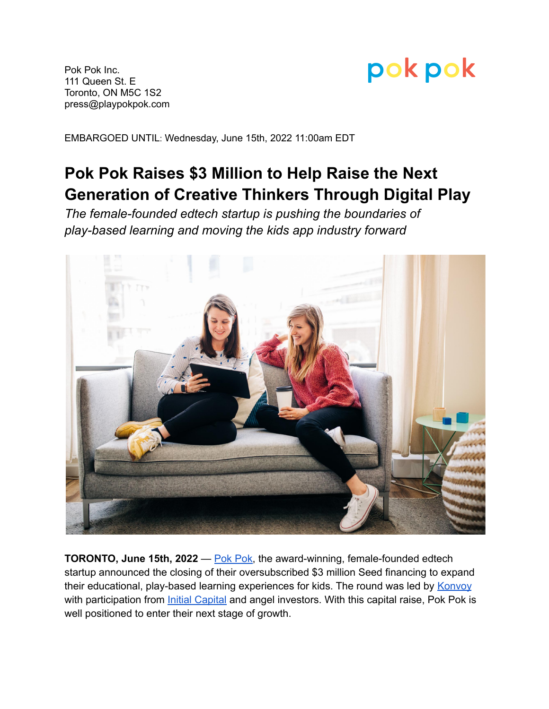

Pok Pok Inc. 111 Queen St. E Toronto, ON M5C 1S2 press@playpokpok.com

EMBARGOED UNTIL: Wednesday, June 15th, 2022 11:00am EDT

## **Pok Pok Raises \$3 Million to Help Raise the Next Generation of Creative Thinkers Through Digital Play**

*The female-founded edtech startup is pushing the boundaries of play-based learning and moving the kids app industry forward*



**TORONTO, June 15th, 2022** — Pok [Pok,](https://playpokpok.com/) the award-winning, female-founded edtech startup announced the closing of their oversubscribed \$3 million Seed financing to expand their educational, play-based learning experiences for kids. The round was led by [Konvoy](http://konvoy.vc) with participation from *Initial [Capital](http://initialcapital.com)* and angel investors. With this capital raise, Pok Pok is well positioned to enter their next stage of growth.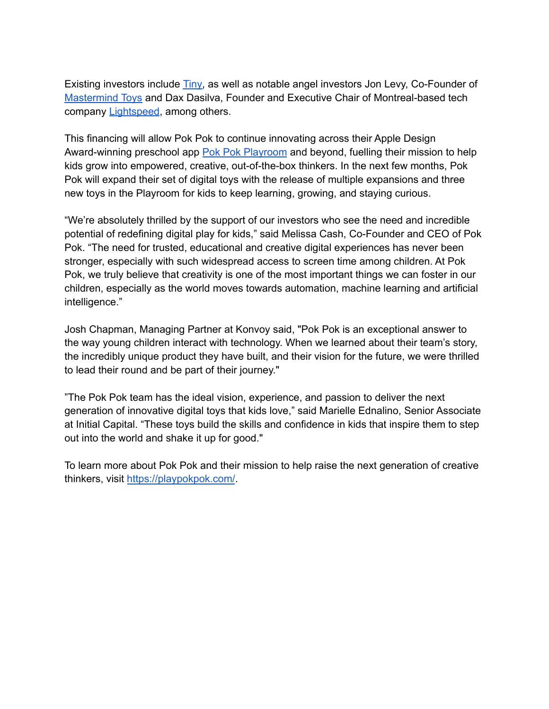Existing investors include [Tiny,](https://www.tiny.com/) as well as notable angel investors Jon Levy, Co-Founder of [Mastermind](https://www.mastermindtoys.com/) Toys and Dax Dasilva, Founder and Executive Chair of Montreal-based tech company [Lightspeed](https://www.lightspeedhq.com/), among others.

This financing will allow Pok Pok to continue innovating across their Apple Design Award-winning preschool app Pok Pok [Playroom](https://apps.apple.com/app/apple-store/id1550204730) and beyond, fuelling their mission to help kids grow into empowered, creative, out-of-the-box thinkers. In the next few months, Pok Pok will expand their set of digital toys with the release of multiple expansions and three new toys in the Playroom for kids to keep learning, growing, and staying curious.

"We're absolutely thrilled by the support of our investors who see the need and incredible potential of redefining digital play for kids," said Melissa Cash, Co-Founder and CEO of Pok Pok. "The need for trusted, educational and creative digital experiences has never been stronger, especially with such widespread access to screen time among children. At Pok Pok, we truly believe that creativity is one of the most important things we can foster in our children, especially as the world moves towards automation, machine learning and artificial intelligence."

Josh Chapman, Managing Partner at Konvoy said, "Pok Pok is an exceptional answer to the way young children interact with technology. When we learned about their team's story, the incredibly unique product they have built, and their vision for the future, we were thrilled to lead their round and be part of their journey."

"The Pok Pok team has the ideal vision, experience, and passion to deliver the next generation of innovative digital toys that kids love," said Marielle Ednalino, Senior Associate at Initial Capital. "These toys build the skills and confidence in kids that inspire them to step out into the world and shake it up for good."

To learn more about Pok Pok and their mission to help raise the next generation of creative thinkers, visit <https://playpokpok.com/>.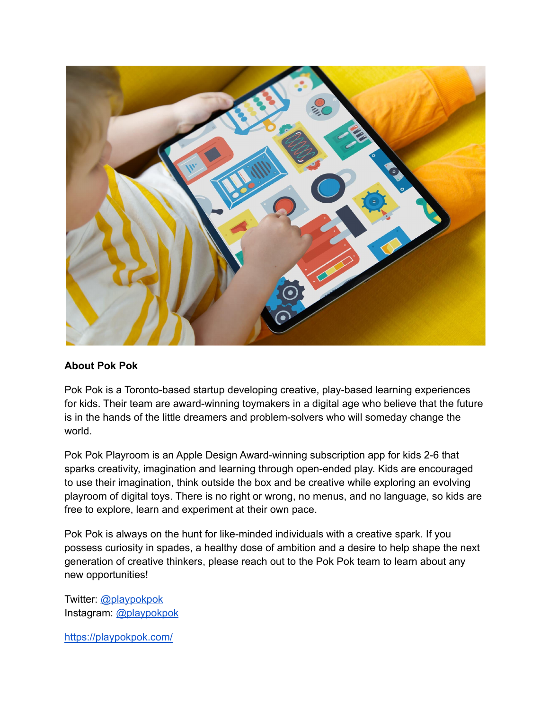

## **About Pok Pok**

Pok Pok is a Toronto-based startup developing creative, play-based learning experiences for kids. Their team are award-winning toymakers in a digital age who believe that the future is in the hands of the little dreamers and problem-solvers who will someday change the world.

Pok Pok Playroom is an Apple Design Award-winning subscription app for kids 2-6 that sparks creativity, imagination and learning through open-ended play. Kids are encouraged to use their imagination, think outside the box and be creative while exploring an evolving playroom of digital toys. There is no right or wrong, no menus, and no language, so kids are free to explore, learn and experiment at their own pace.

Pok Pok is always on the hunt for like-minded individuals with a creative spark. If you possess curiosity in spades, a healthy dose of ambition and a desire to help shape the next generation of creative thinkers, please reach out to the Pok Pok team to learn about any new opportunities!

Twitter: [@playpokpok](https://twitter.com/playpokpok) Instagram: [@playpokpok](https://www.instagram.com/playpokpok/?hl=en)

<https://playpokpok.com/>